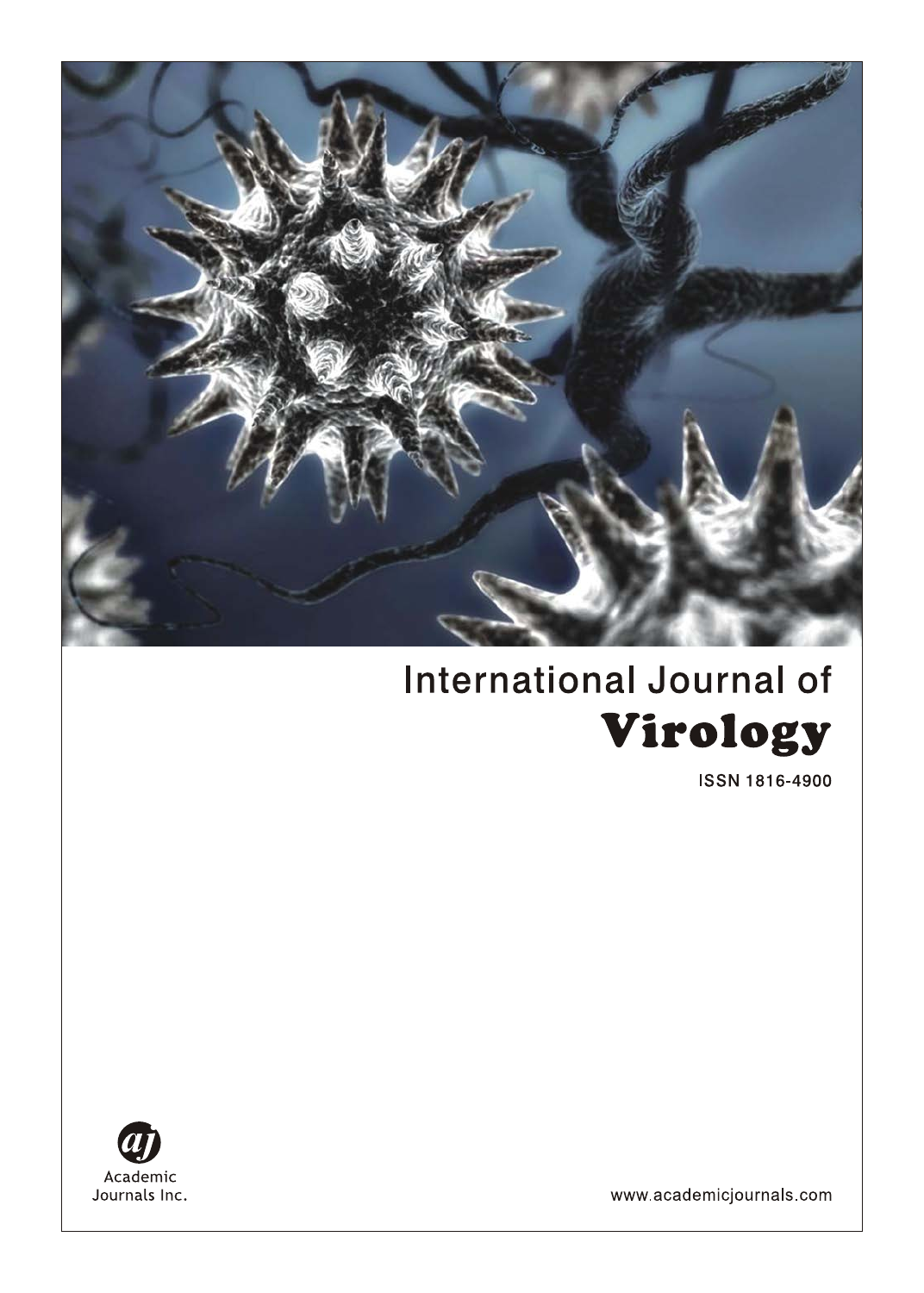

# **International Journal of** Virology

**ISSN 1816-4900** 



www.academicjournals.com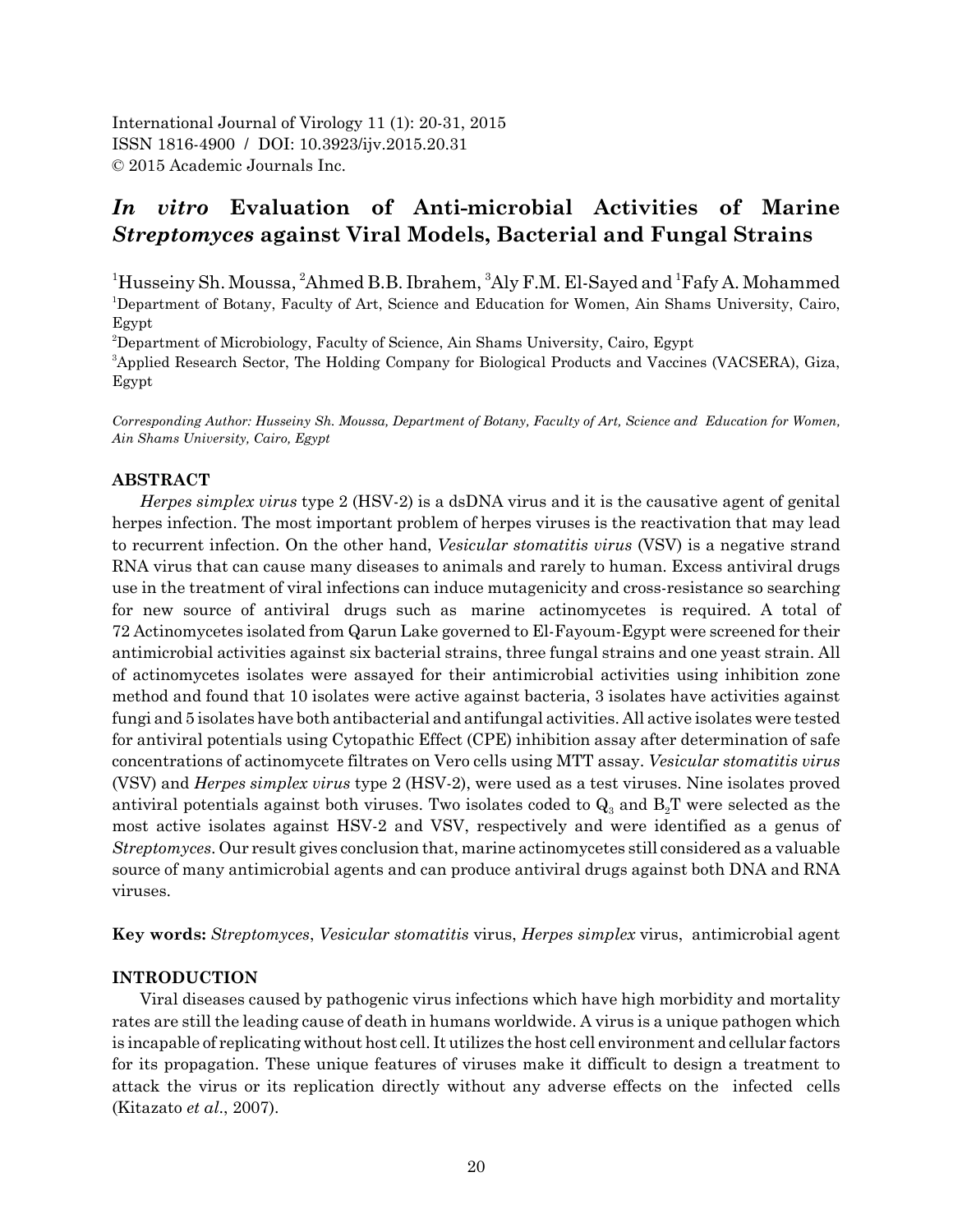International Journal of Virology 11 (1): 20-31, 2015 ISSN 1816-4900 / DOI: 10.3923/ijv.2015.20.31 © 2015 Academic Journals Inc.

# *In vitro* **Evaluation of Anti-microbial Activities of Marine** *Streptomyces* **against Viral Models, Bacterial and Fungal Strains**

<sup>1</sup>Husseiny Sh. Moussa, <sup>2</sup>Ahmed B.B. Ibrahem, <sup>3</sup>Aly F.M. El-Sayed and <sup>1</sup>Fafy A. Mohammed 1 Department of Botany, Faculty of Art, Science and Education for Women, Ain Shams University, Cairo, Egypt

2 Department of Microbiology, Faculty of Science, Ain Shams University, Cairo, Egypt

3 Applied Research Sector, The Holding Company for Biological Products and Vaccines (VACSERA), Giza, Egypt

*Corresponding Author: Husseiny Sh. Moussa, Department of Botany, Faculty of Art, Science and Education for Women, Ain Shams University, Cairo, Egypt*

# **ABSTRACT**

*Herpes simplex virus* type 2 (HSV-2) is a dsDNA virus and it is the causative agent of genital herpes infection. The most important problem of herpes viruses is the reactivation that may lead to recurrent infection. On the other hand, *Vesicular stomatitis virus* (VSV) is a negative strand RNA virus that can cause many diseases to animals and rarely to human. Excess antiviral drugs use in the treatment of viral infections can induce mutagenicity and cross-resistance so searching for new source of antiviral drugs such as marine actinomycetes is required. A total of 72 Actinomycetes isolated from Qarun Lake governed to El-Fayoum-Egypt were screened for their antimicrobial activities against six bacterial strains, three fungal strains and one yeast strain. All of actinomycetes isolates were assayed for their antimicrobial activities using inhibition zone method and found that 10 isolates were active against bacteria, 3 isolates have activities against fungi and 5 isolates have both antibacterial and antifungal activities. All active isolates were tested for antiviral potentials using Cytopathic Effect (CPE) inhibition assay after determination of safe concentrations of actinomycete filtrates on Vero cells using MTT assay. *Vesicular stomatitis virus* (VSV) and *Herpes simplex virus* type 2 (HSV-2), were used as a test viruses. Nine isolates proved antiviral potentials against both viruses. Two isolates coded to  $Q_3$  and  $B_2T$  were selected as the most active isolates against HSV-2 and VSV, respectively and were identified as a genus of *Streptomyces*. Our result gives conclusion that, marine actinomycetes still considered as a valuable source of many antimicrobial agents and can produce antiviral drugs against both DNA and RNA viruses.

**Key words:** *Streptomyces*, *Vesicular stomatitis* virus, *Herpes simplex* virus, antimicrobial agent

# **INTRODUCTION**

Viral diseases caused by pathogenic virus infections which have high morbidity and mortality rates are still the leading cause of death in humans worldwide. A virus is a unique pathogen which is incapable of replicating without host cell. It utilizes the host cell environment and cellular factors for its propagation. These unique features of viruses make it difficult to design a treatment to attack the virus or its replication directly without any adverse effects on the infected cells (Kitazato *et al*., 2007).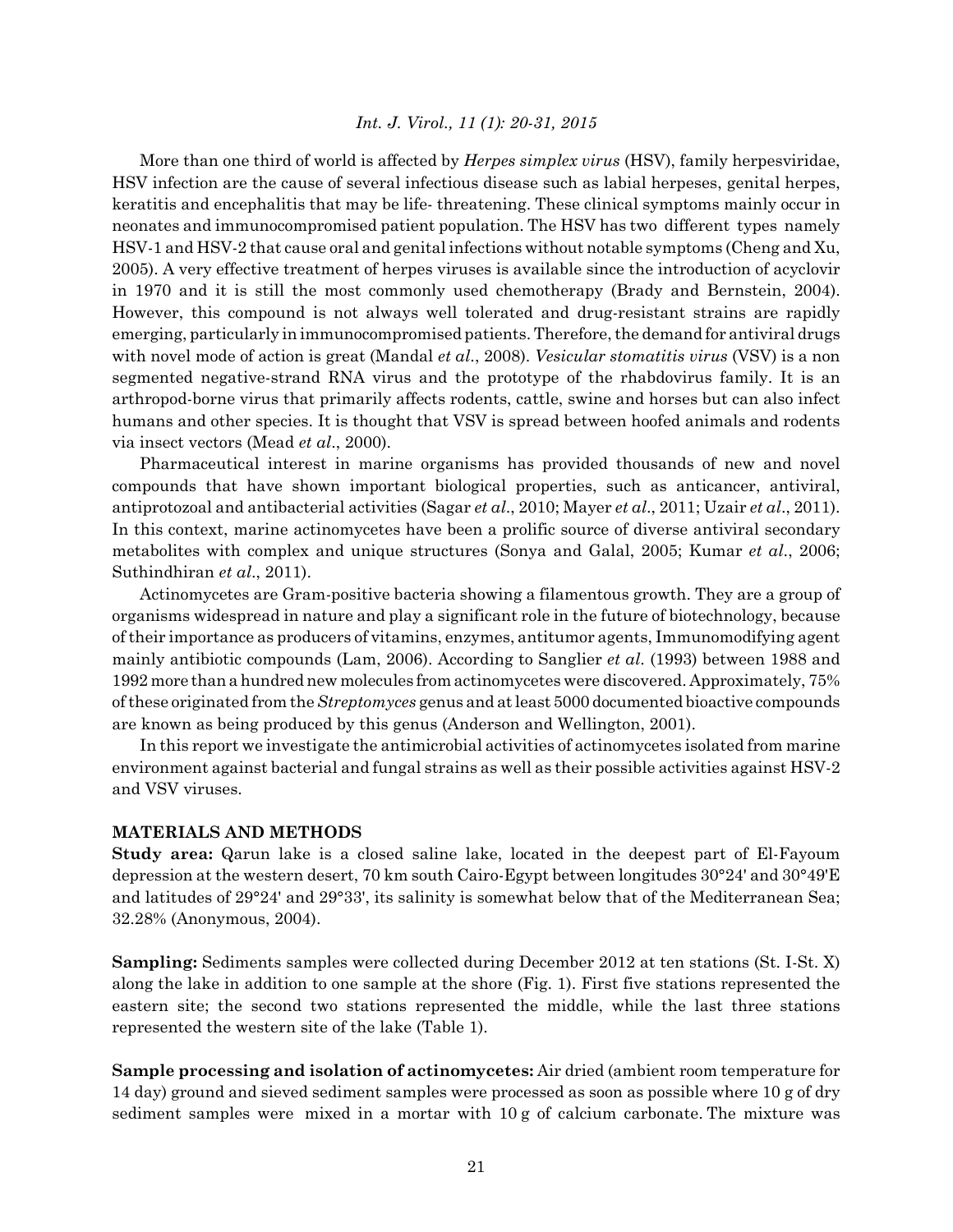More than one third of world is affected by *Herpes simplex virus* (HSV), family herpesviridae, HSV infection are the cause of several infectious disease such as labial herpeses, genital herpes, keratitis and encephalitis that may be life- threatening. These clinical symptoms mainly occur in neonates and immunocompromised patient population. The HSV has two different types namely HSV-1 and HSV-2 that cause oral and genital infections without notable symptoms (Cheng and Xu, 2005). A very effective treatment of herpes viruses is available since the introduction of acyclovir in 1970 and it is still the most commonly used chemotherapy (Brady and Bernstein, 2004). However, this compound is not always well tolerated and drug-resistant strains are rapidly emerging, particularly in immunocompromised patients. Therefore, the demand for antiviral drugs with novel mode of action is great (Mandal *et al*., 2008). *Vesicular stomatitis virus* (VSV) is a non segmented negative-strand RNA virus and the prototype of the rhabdovirus family. It is an arthropod-borne virus that primarily affects rodents, cattle, swine and horses but can also infect humans and other species. It is thought that VSV is spread between hoofed animals and rodents via insect vectors (Mead *et al*., 2000).

Pharmaceutical interest in marine organisms has provided thousands of new and novel compounds that have shown important biological properties, such as anticancer, antiviral, antiprotozoal and antibacterial activities (Sagar *et al*., 2010; Mayer *et al*., 2011; Uzair *et al*., 2011). In this context, marine actinomycetes have been a prolific source of diverse antiviral secondary metabolites with complex and unique structures (Sonya and Galal, 2005; Kumar *et al*., 2006; Suthindhiran *et al*., 2011).

Actinomycetes are Gram-positive bacteria showing a filamentous growth. They are a group of organisms widespread in nature and play a significant role in the future of biotechnology, because of their importance as producers of vitamins, enzymes, antitumor agents, Immunomodifying agent mainly antibiotic compounds (Lam, 2006). According to Sanglier *et al*. (1993) between 1988 and 1992 more than a hundred new molecules from actinomycetes were discovered. Approximately, 75% of these originated from the *Streptomyces* genus and at least 5000 documented bioactive compounds are known as being produced by this genus (Anderson and Wellington, 2001).

In this report we investigate the antimicrobial activities of actinomycetes isolated from marine environment against bacterial and fungal strains as well as their possible activities against HSV-2 and VSV viruses.

# **MATERIALS AND METHODS**

**Study area:** Qarun lake is a closed saline lake, located in the deepest part of El-Fayoum depression at the western desert, 70 km south Cairo-Egypt between longitudes 30°24' and 30°49'E and latitudes of 29°24' and 29°33', its salinity is somewhat below that of the Mediterranean Sea; 32.28% (Anonymous, 2004).

**Sampling:** Sediments samples were collected during December 2012 at ten stations (St. I-St. X) along the lake in addition to one sample at the shore (Fig. 1). First five stations represented the eastern site; the second two stations represented the middle, while the last three stations represented the western site of the lake (Table 1).

**Sample processing and isolation of actinomycetes:** Air dried (ambient room temperature for 14 day) ground and sieved sediment samples were processed as soon as possible where 10 g of dry sediment samples were mixed in a mortar with 10 g of calcium carbonate. The mixture was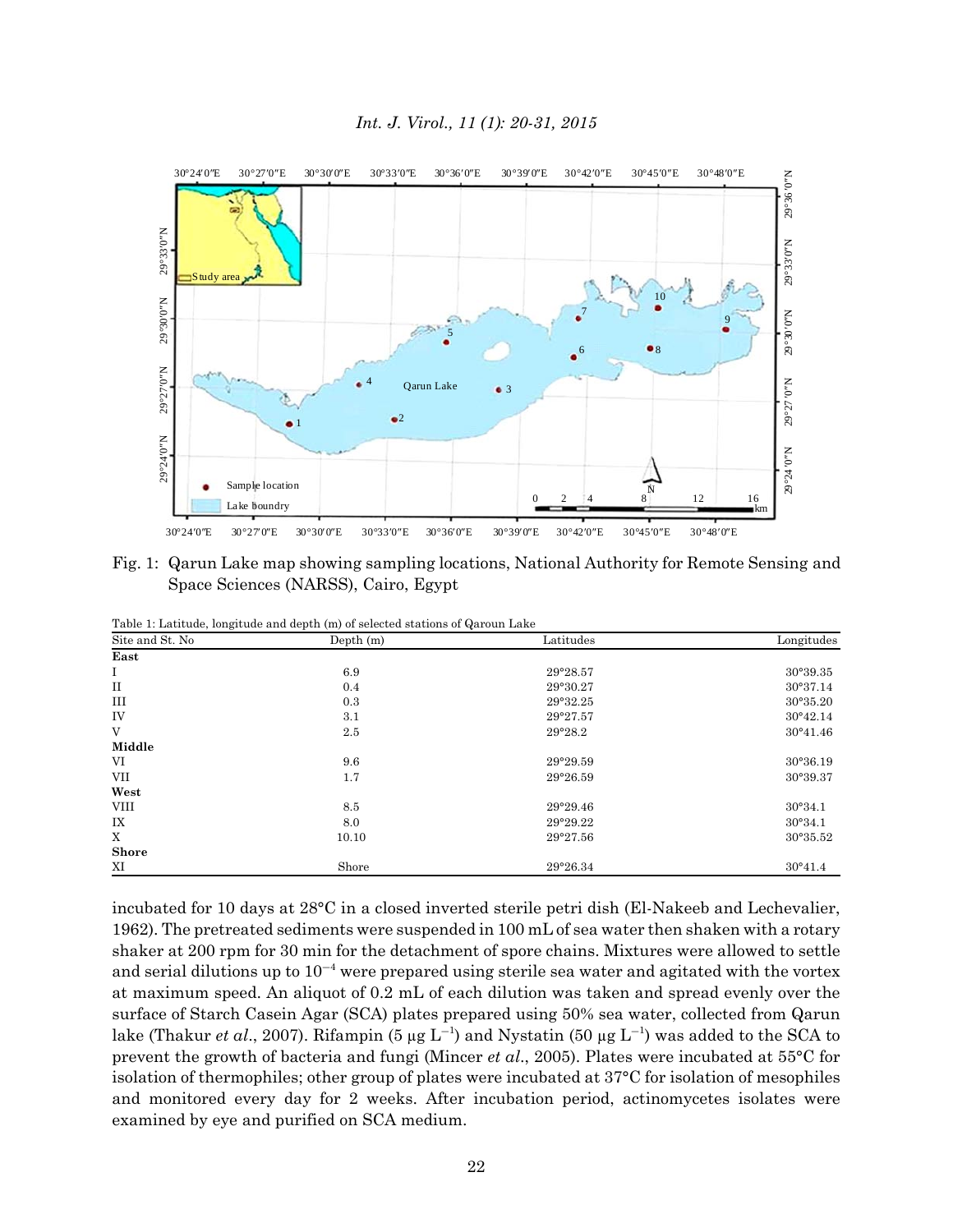

Fig. 1: Qarun Lake map showing sampling locations, National Authority for Remote Sensing and Space Sciences (NARSS), Cairo, Egypt

| Site and St. No | Depth (m) | Latitudes | Longitudes        |
|-----------------|-----------|-----------|-------------------|
| East            |           |           |                   |
| Ι               | 6.9       | 29°28.57  | 30°39.35          |
| $_{\rm II}$     | 0.4       | 29°30.27  | 30°37.14          |
| Ш               | 0.3       | 29°32.25  | 30°35.20          |
| IV              | 3.1       | 29°27.57  | $30^{\circ}42.14$ |
| V               | 2.5       | 29°28.2   | 30°41.46          |
| Middle          |           |           |                   |
| VI              | 9.6       | 29°29.59  | 30°36.19          |
| VII             | 1.7       | 29°26.59  | 30°39.37          |
| West            |           |           |                   |
| VIII            | 8.5       | 29°29.46  | 30°34.1           |
| IX              | 8.0       | 29°29.22  | 30°34.1           |
| X               | 10.10     | 29°27.56  | 30°35.52          |
| <b>Shore</b>    |           |           |                   |
| ΧI              | Shore     | 29°26.34  | 30°41.4           |

Table 1: Latitude, longitude and depth (m) of selected stations of Qaroun Lake

incubated for 10 days at 28°C in a closed inverted sterile petri dish (El-Nakeeb and Lechevalier, 1962). The pretreated sediments were suspended in 100 mL of sea water then shaken with a rotary shaker at 200 rpm for 30 min for the detachment of spore chains. Mixtures were allowed to settle and serial dilutions up to  $10^{-4}$  were prepared using sterile sea water and agitated with the vortex at maximum speed. An aliquot of 0.2 mL of each dilution was taken and spread evenly over the surface of Starch Casein Agar (SCA) plates prepared using 50% sea water, collected from Qarun lake (Thakur *et al.*, 2007). Rifampin (5 µg  $L^{-1}$ ) and Nystatin (50 µg  $L^{-1}$ ) was added to the SCA to prevent the growth of bacteria and fungi (Mincer *et al*., 2005). Plates were incubated at 55°C for isolation of thermophiles; other group of plates were incubated at 37°C for isolation of mesophiles and monitored every day for 2 weeks. After incubation period, actinomycetes isolates were examined by eye and purified on SCA medium.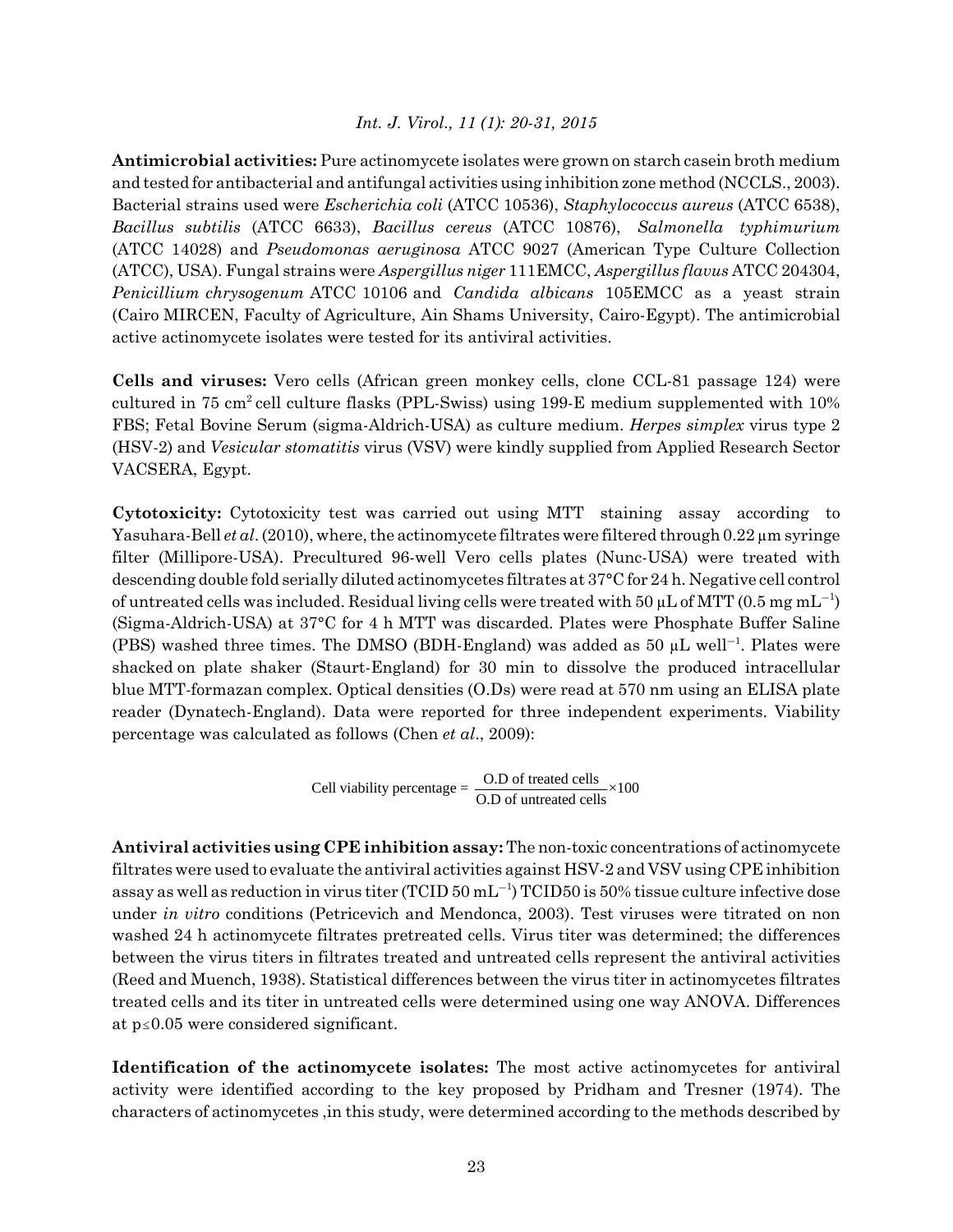**Antimicrobial activities:** Pure actinomycete isolates were grown on starch casein broth medium and tested for antibacterial and antifungal activities using inhibition zone method (NCCLS., 2003). Bacterial strains used were *Escherichia coli* (ATCC 10536), *Staphylococcus aureus* (ATCC 6538), *Bacillus subtilis* (ATCC 6633), *Bacillus cereus* (ATCC 10876), *Salmonella typhimurium* (ATCC 14028) and *Pseudomonas aeruginosa* ATCC 9027 (American Type Culture Collection (ATCC), USA). Fungal strains were *Aspergillus niger* 111EMCC, *Aspergillus flavus* ATCC 204304, *Penicillium chrysogenum* ATCC 10106 and *Candida albicans* 105EMCC as a yeast strain (Cairo MIRCEN, Faculty of Agriculture, Ain Shams University, Cairo-Egypt). The antimicrobial active actinomycete isolates were tested for its antiviral activities.

**Cells and viruses:** Vero cells (African green monkey cells, clone CCL-81 passage 124) were cultured in 75 cm<sup>2</sup> cell culture flasks (PPL-Swiss) using 199-E medium supplemented with  $10\%$ FBS; Fetal Bovine Serum (sigma-Aldrich-USA) as culture medium. *Herpes simplex* virus type 2 (HSV-2) and *Vesicular stomatitis* virus (VSV) were kindly supplied from Applied Research Sector VACSERA, Egypt.

**Cytotoxicity:** Cytotoxicity test was carried out using MTT staining assay according to Yasuhara-Bell *et al*. (2010), where, the actinomycete filtrates were filtered through 0.22 μm syringe filter (Millipore-USA). Precultured 96-well Vero cells plates (Nunc-USA) were treated with descending double fold serially diluted actinomycetes filtrates at 37°C for 24 h. Negative cell control of untreated cells was included. Residual living cells were treated with 50 µL of MTT (0.5 mg mL<sup>-1</sup>) (Sigma-Aldrich-USA) at 37°C for 4 h MTT was discarded. Plates were Phosphate Buffer Saline (PBS) washed three times. The DMSO (BDH-England) was added as 50  $\mu$ L well<sup>-1</sup>. Plates were shacked on plate shaker (Staurt-England) for 30 min to dissolve the produced intracellular blue MTT-formazan complex. Optical densities (O.Ds) were read at 570 nm using an ELISA plate reader (Dynatech-England). Data were reported for three independent experiments. Viability percentage was calculated as follows (Chen *et al*., 2009):

Cell viability percentage =  $\frac{O.D \text{ of treated cells}}{O.D \text{ of untreated cells}} \times 100$ 

**Antiviral activities using CPE inhibition assay:** The non-toxic concentrations of actinomycete filtrates were used to evaluate the antiviral activities against HSV-2 and VSV using CPE inhibition assay as well as reduction in virus titer (TCID  $50$  mL<sup>-1</sup>) TCID50 is  $50\%$  tissue culture infective dose under *in vitro* conditions (Petricevich and Mendonca, 2003). Test viruses were titrated on non washed 24 h actinomycete filtrates pretreated cells. Virus titer was determined; the differences between the virus titers in filtrates treated and untreated cells represent the antiviral activities (Reed and Muench, 1938). Statistical differences between the virus titer in actinomycetes filtrates treated cells and its titer in untreated cells were determined using one way ANOVA. Differences at  $p \leq 0.05$  were considered significant.

**Identification of the actinomycete isolates:** The most active actinomycetes for antiviral activity were identified according to the key proposed by Pridham and Tresner (1974). The characters of actinomycetes ,in this study, were determined according to the methods described by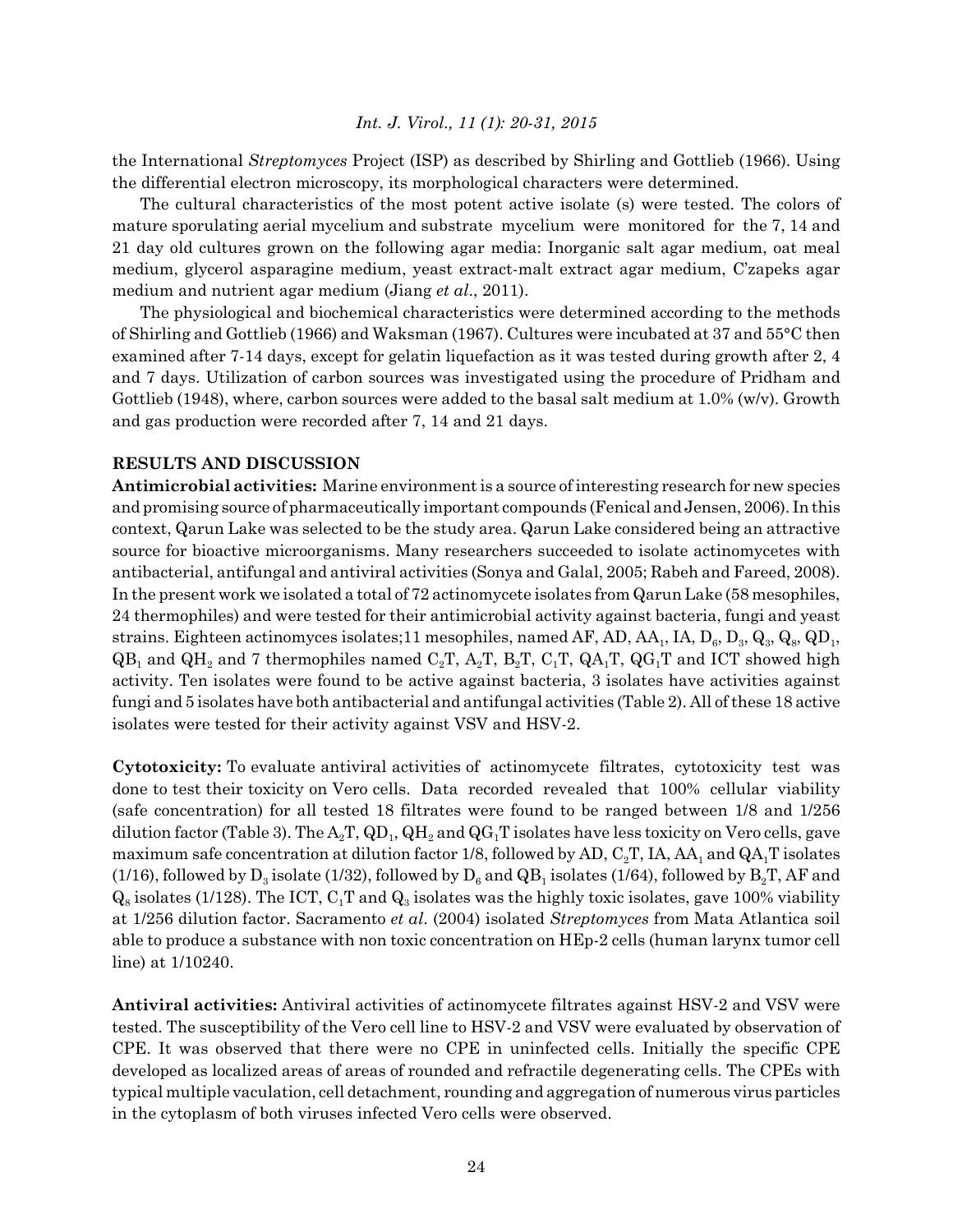the International *Streptomyces* Project (ISP) as described by Shirling and Gottlieb (1966). Using the differential electron microscopy, its morphological characters were determined.

The cultural characteristics of the most potent active isolate (s) were tested. The colors of mature sporulating aerial mycelium and substrate mycelium were monitored for the 7, 14 and 21 day old cultures grown on the following agar media: Inorganic salt agar medium, oat meal medium, glycerol asparagine medium, yeast extract-malt extract agar medium, C'zapeks agar medium and nutrient agar medium (Jiang *et al*., 2011).

The physiological and biochemical characteristics were determined according to the methods of Shirling and Gottlieb (1966) and Waksman (1967). Cultures were incubated at 37 and 55°C then examined after 7-14 days, except for gelatin liquefaction as it was tested during growth after 2, 4 and 7 days. Utilization of carbon sources was investigated using the procedure of Pridham and Gottlieb (1948), where, carbon sources were added to the basal salt medium at 1.0% (w/v). Growth and gas production were recorded after 7, 14 and 21 days.

# **RESULTS AND DISCUSSION**

**Antimicrobial activities:** Marine environment is a source of interesting research for new species and promising source of pharmaceutically important compounds (Fenical and Jensen, 2006). In this context, Qarun Lake was selected to be the study area. Qarun Lake considered being an attractive source for bioactive microorganisms. Many researchers succeeded to isolate actinomycetes with antibacterial, antifungal and antiviral activities (Sonya and Galal, 2005; Rabeh and Fareed, 2008). In the present work we isolated a total of 72 actinomycete isolates from Qarun Lake (58 mesophiles, 24 thermophiles) and were tested for their antimicrobial activity against bacteria, fungi and yeast strains. Eighteen actinomyces isolates;11 mesophiles, named AF, AD, AA,, IA, D<sub>6</sub>, D<sub>3</sub>, Q<sub>3</sub>, Q<sub>8</sub>, QD<sub>1</sub>,  $QB_1$  and  $QH_2$  and 7 thermophiles named C<sub>2</sub>T, A<sub>2</sub>T, B<sub>2</sub>T, C<sub>1</sub>T, QA<sub>1</sub>T, QG<sub>1</sub>T and ICT showed high activity. Ten isolates were found to be active against bacteria, 3 isolates have activities against fungi and 5 isolates have both antibacterial and antifungal activities (Table 2). All of these 18 active isolates were tested for their activity against VSV and HSV-2.

**Cytotoxicity:** To evaluate antiviral activities of actinomycete filtrates, cytotoxicity test was done to test their toxicity on Vero cells. Data recorded revealed that 100% cellular viability (safe concentration) for all tested 18 filtrates were found to be ranged between 1/8 and 1/256 dilution factor (Table 3). The  $A_2T$ ,  $QD_1$ ,  $QH_2$  and  $QG_1T$  isolates have less toxicity on Vero cells, gave maximum safe concentration at dilution factor 1/8, followed by AD,  $C_2T$ , IA, AA<sub>1</sub> and QA<sub>1</sub>T isolates (1/16), followed by  $D_3$  isolate (1/32), followed by  $D_6$  and  $QB_1$  isolates (1/64), followed by  $B_2T$ , AF and  $Q_8$  isolates (1/128). The ICT,  $C_1T$  and  $Q_3$  isolates was the highly toxic isolates, gave 100% viability at 1/256 dilution factor. Sacramento *et al*. (2004) isolated *Streptomyces* from Mata Atlantica soil able to produce a substance with non toxic concentration on HEp-2 cells (human larynx tumor cell line) at 1/10240.

**Antiviral activities:** Antiviral activities of actinomycete filtrates against HSV-2 and VSV were tested. The susceptibility of the Vero cell line to HSV-2 and VSV were evaluated by observation of CPE. It was observed that there were no CPE in uninfected cells. Initially the specific CPE developed as localized areas of areas of rounded and refractile degenerating cells. The CPEs with typical multiple vaculation, cell detachment, rounding and aggregation of numerous virus particles in the cytoplasm of both viruses infected Vero cells were observed.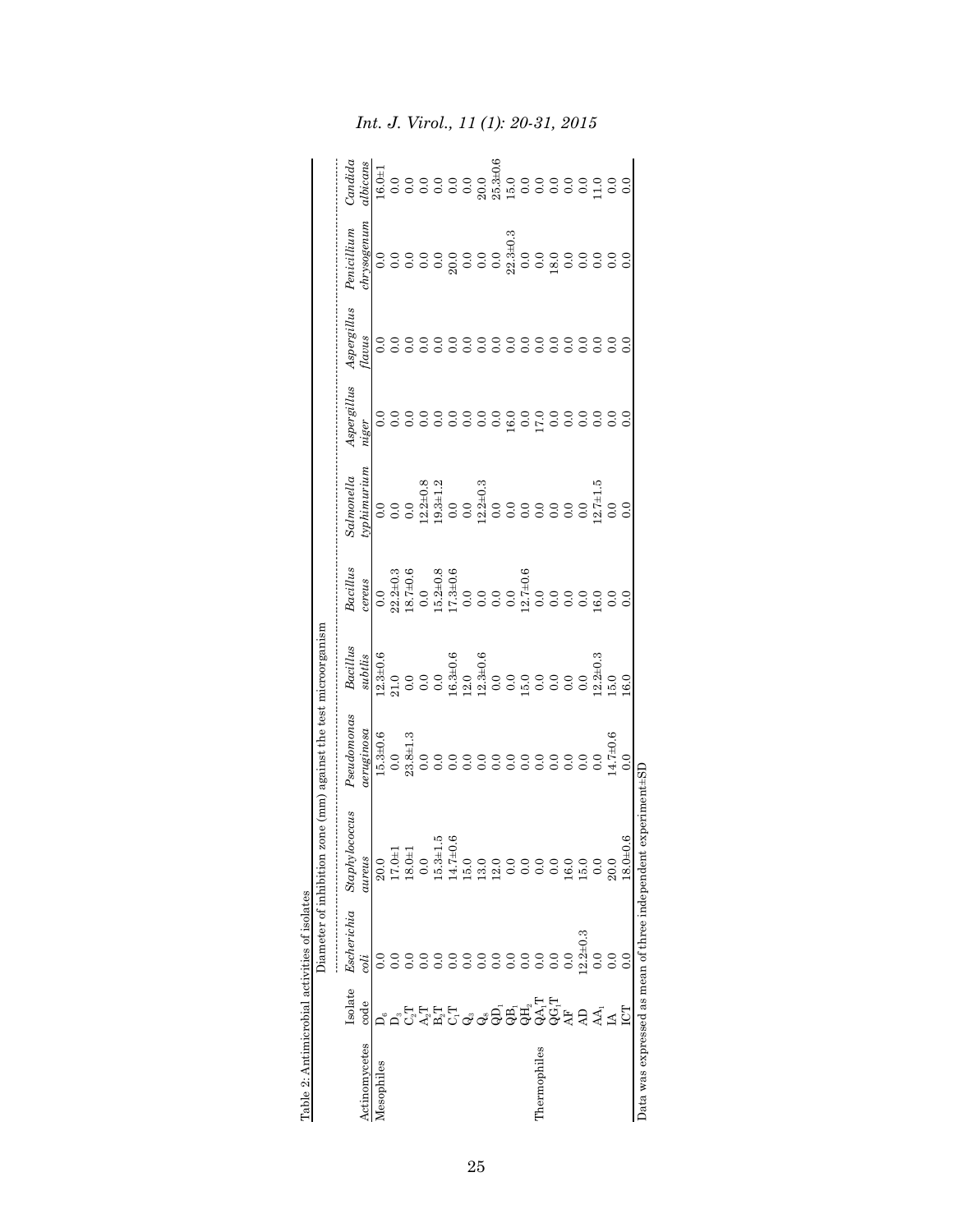|                                                 |                                                                               | Diameter of inhibition |                                    | zone (mm) against the test microorganism |                                                                      |                                                                     |                                                                                                                                                                                                                                                                                                                                                                                                   |             |             |             |                                                                                                                                                                                                                                                                                                                                        |
|-------------------------------------------------|-------------------------------------------------------------------------------|------------------------|------------------------------------|------------------------------------------|----------------------------------------------------------------------|---------------------------------------------------------------------|---------------------------------------------------------------------------------------------------------------------------------------------------------------------------------------------------------------------------------------------------------------------------------------------------------------------------------------------------------------------------------------------------|-------------|-------------|-------------|----------------------------------------------------------------------------------------------------------------------------------------------------------------------------------------------------------------------------------------------------------------------------------------------------------------------------------------|
|                                                 | Isolate                                                                       | Escherichia            | Staphylococcus                     | Pseudomonas                              |                                                                      |                                                                     | $^{\rm idimonella}$                                                                                                                                                                                                                                                                                                                                                                               | Aspergillus | Aspergillus | Penicillium | Candida                                                                                                                                                                                                                                                                                                                                |
| Actinomycetes                                   | code                                                                          | coli                   | aureus                             | psoutgring                               | $\begin{array}{c} \textit{Bacillus} \\ \textit{subtlis} \end{array}$ | $\begin{array}{c} \textit{Bacillus} \\ \textit{cerves} \end{array}$ |                                                                                                                                                                                                                                                                                                                                                                                                   | $u$ ger     | lavus       |             | ilbicans                                                                                                                                                                                                                                                                                                                               |
| Mesophiles                                      |                                                                               |                        |                                    |                                          |                                                                      |                                                                     | $\begin{array}{l} \frac{1}{2} \frac{1}{2} \frac{1}{2} \frac{1}{2} \frac{1}{2} \frac{1}{2} \frac{1}{2} \frac{1}{2} \frac{1}{2} \frac{1}{2} \frac{1}{2} \frac{1}{2} \frac{1}{2} \frac{1}{2} \frac{1}{2} \frac{1}{2} \frac{1}{2} \frac{1}{2} \frac{1}{2} \frac{1}{2} \frac{1}{2} \frac{1}{2} \frac{1}{2} \frac{1}{2} \frac{1}{2} \frac{1}{2} \frac{1}{2} \frac{1}{2} \frac{1}{2} \frac{1}{2} \frac{$ |             |             |             |                                                                                                                                                                                                                                                                                                                                        |
|                                                 |                                                                               |                        | $\frac{20.0}{17.0}$                |                                          |                                                                      |                                                                     |                                                                                                                                                                                                                                                                                                                                                                                                   |             |             |             |                                                                                                                                                                                                                                                                                                                                        |
|                                                 |                                                                               |                        | $18.0 \pm 1$                       |                                          |                                                                      |                                                                     |                                                                                                                                                                                                                                                                                                                                                                                                   |             |             |             |                                                                                                                                                                                                                                                                                                                                        |
|                                                 |                                                                               |                        |                                    |                                          |                                                                      |                                                                     |                                                                                                                                                                                                                                                                                                                                                                                                   |             |             |             |                                                                                                                                                                                                                                                                                                                                        |
|                                                 |                                                                               |                        |                                    |                                          |                                                                      |                                                                     |                                                                                                                                                                                                                                                                                                                                                                                                   |             |             |             |                                                                                                                                                                                                                                                                                                                                        |
|                                                 |                                                                               |                        | $\frac{0.0}{15.3 \pm 1}$<br>14.7±0 |                                          |                                                                      |                                                                     |                                                                                                                                                                                                                                                                                                                                                                                                   |             |             |             |                                                                                                                                                                                                                                                                                                                                        |
|                                                 |                                                                               |                        |                                    |                                          |                                                                      |                                                                     |                                                                                                                                                                                                                                                                                                                                                                                                   |             |             |             |                                                                                                                                                                                                                                                                                                                                        |
|                                                 |                                                                               |                        |                                    |                                          |                                                                      |                                                                     |                                                                                                                                                                                                                                                                                                                                                                                                   |             |             |             |                                                                                                                                                                                                                                                                                                                                        |
|                                                 | <del>ָ</del><br>הֲהְהָהָ הָם הֲתָלֶטָׁ בָּתָ הָאֲלָם<br>הָהָהָ הָהָם הָתָלֶטָ |                        | 0.0000000                          |                                          |                                                                      |                                                                     |                                                                                                                                                                                                                                                                                                                                                                                                   |             |             |             | $\begin{array}{ll} 1 & 0 & 0 \\ 0 & 0 & 0 \\ 0 & 0 & 0 \\ 0 & 0 & 0 \\ 0 & 0 & 0 \\ 0 & 0 & 0 \\ 0 & 0 & 0 \\ 0 & 0 & 0 \\ 0 & 0 & 0 \\ 0 & 0 & 0 \\ 0 & 0 & 0 \\ 0 & 0 & 0 \\ 0 & 0 & 0 \\ 0 & 0 & 0 \\ 0 & 0 & 0 \\ 0 & 0 & 0 \\ 0 & 0 & 0 \\ 0 & 0 & 0 \\ 0 & 0 & 0 \\ 0 & 0 & 0 \\ 0 & 0 & 0 \\ 0 & 0 & 0 \\ 0 & 0 & 0 \\ 0 & 0 &$ |
|                                                 |                                                                               |                        |                                    |                                          |                                                                      |                                                                     |                                                                                                                                                                                                                                                                                                                                                                                                   |             |             |             |                                                                                                                                                                                                                                                                                                                                        |
|                                                 |                                                                               |                        |                                    |                                          |                                                                      |                                                                     |                                                                                                                                                                                                                                                                                                                                                                                                   |             |             |             |                                                                                                                                                                                                                                                                                                                                        |
| hermophiles                                     |                                                                               |                        | 0.0                                |                                          |                                                                      |                                                                     |                                                                                                                                                                                                                                                                                                                                                                                                   |             |             |             |                                                                                                                                                                                                                                                                                                                                        |
|                                                 |                                                                               |                        | 0.0                                |                                          |                                                                      |                                                                     |                                                                                                                                                                                                                                                                                                                                                                                                   |             |             |             |                                                                                                                                                                                                                                                                                                                                        |
|                                                 |                                                                               | 0.0                    | .6.0                               |                                          |                                                                      |                                                                     |                                                                                                                                                                                                                                                                                                                                                                                                   |             |             |             |                                                                                                                                                                                                                                                                                                                                        |
|                                                 |                                                                               | $2.2 + 0.3$            | 5.0                                |                                          |                                                                      |                                                                     |                                                                                                                                                                                                                                                                                                                                                                                                   |             |             |             |                                                                                                                                                                                                                                                                                                                                        |
|                                                 |                                                                               |                        | 0.0                                |                                          |                                                                      |                                                                     |                                                                                                                                                                                                                                                                                                                                                                                                   |             |             |             |                                                                                                                                                                                                                                                                                                                                        |
|                                                 |                                                                               |                        | 20.0                               |                                          |                                                                      |                                                                     |                                                                                                                                                                                                                                                                                                                                                                                                   |             |             |             |                                                                                                                                                                                                                                                                                                                                        |
|                                                 |                                                                               | $\ddot{0}$ .           | 9.6<br>$18.0\pm$                   |                                          |                                                                      |                                                                     |                                                                                                                                                                                                                                                                                                                                                                                                   |             |             |             |                                                                                                                                                                                                                                                                                                                                        |
| Data was expressed as mean of three independent |                                                                               |                        | experiments                        |                                          |                                                                      |                                                                     |                                                                                                                                                                                                                                                                                                                                                                                                   |             |             |             |                                                                                                                                                                                                                                                                                                                                        |

Table 2: Antimicrobial activities of isolates

Table 2: Antimicrobial activities of isolates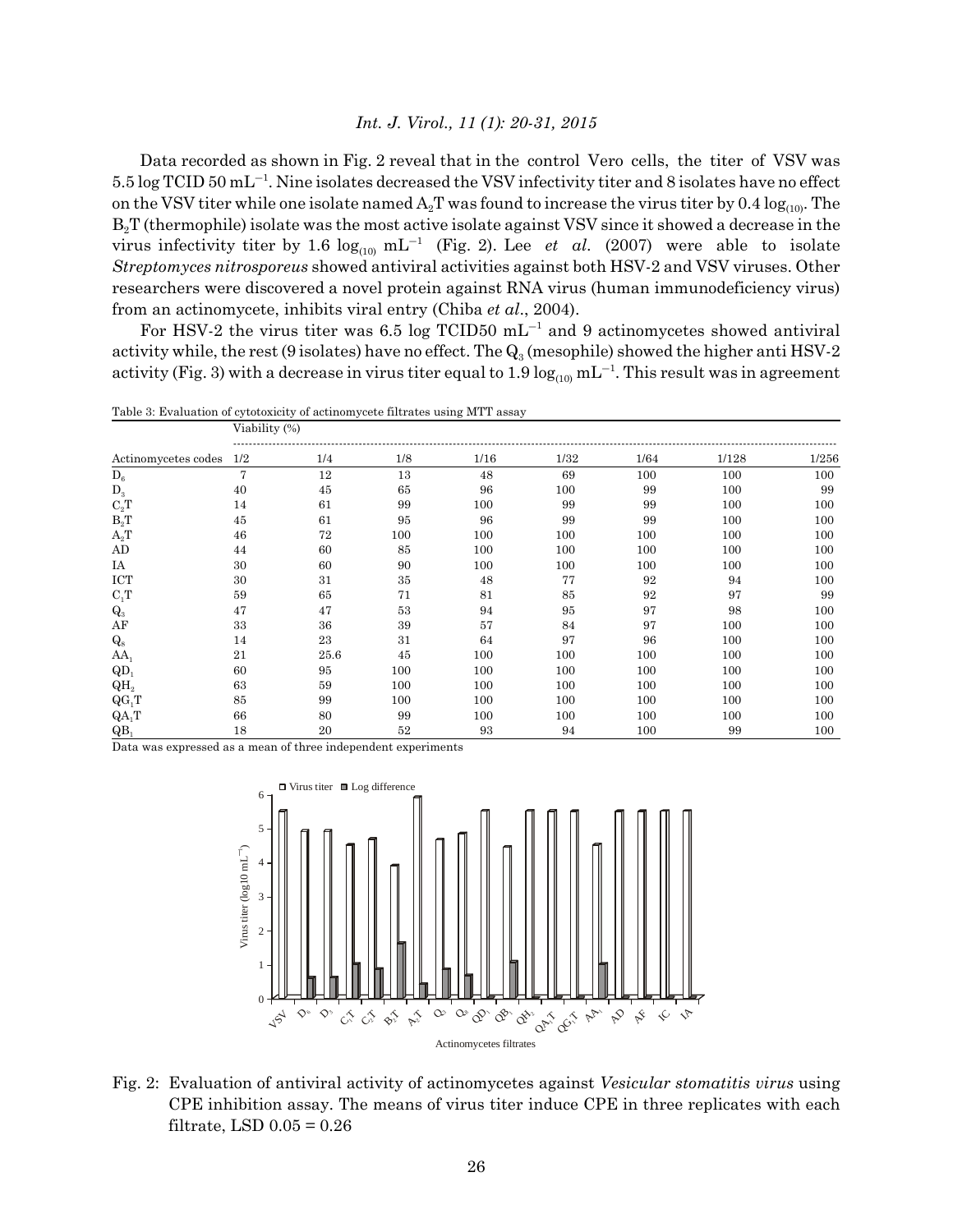Data recorded as shown in Fig. 2 reveal that in the control Vero cells, the titer of VSV was  $5.5 \log T CID 50 \text{ mL}^{-1}$ . Nine isolates decreased the VSV infectivity titer and 8 isolates have no effect on the VSV titer while one isolate named  $A_2T$  was found to increase the virus titer by 0.4  $log_{(10)}$ . The B<sub>2</sub>T (thermophile) isolate was the most active isolate against VSV since it showed a decrease in the virus infectivity titer by 1.6  $log_{(10)} mL^{-1}$  (Fig. 2). Lee *et al.* (2007) were able to isolate *Streptomyces nitrosporeus* showed antiviral activities against both HSV-2 and VSV viruses. Other researchers were discovered a novel protein against RNA virus (human immunodeficiency virus) from an actinomycete, inhibits viral entry (Chiba *et al*., 2004).

For HSV-2 the virus titer was 6.5 log TCID50  $mL^{-1}$  and 9 actinomycetes showed antiviral activity while, the rest (9 isolates) have no effect. The  $Q_3$  (mesophile) showed the higher anti HSV-2 activity (Fig. 3) with a decrease in virus titer equal to 1.9  $\log_{(10)} \text{mL}^{-1}$ . This result was in agreement

| Table 3: Evaluation of cytotoxicity of actinomycete filtrates using MTT assay |               |      |     |      |      |      |       |       |  |
|-------------------------------------------------------------------------------|---------------|------|-----|------|------|------|-------|-------|--|
|                                                                               | Viability (%) |      |     |      |      |      |       |       |  |
| Actinomycetes codes                                                           | 1/2           | 1/4  | 1/8 | 1/16 | 1/32 | 1/64 | 1/128 | 1/256 |  |
| $D_6$                                                                         | 7             | 12   | 13  | 48   | 69   | 100  | 100   | 100   |  |
| $D_3$                                                                         | 40            | 45   | 65  | 96   | 100  | 99   | 100   | 99    |  |
| $\mathrm{C_2T}$                                                               | 14            | 61   | 99  | 100  | 99   | 99   | 100   | 100   |  |
| $B_2T$                                                                        | 45            | 61   | 95  | 96   | 99   | 99   | 100   | 100   |  |
| $A_2T$                                                                        | 46            | 72   | 100 | 100  | 100  | 100  | 100   | 100   |  |
| AD                                                                            | 44            | 60   | 85  | 100  | 100  | 100  | 100   | 100   |  |
| ΙA                                                                            | 30            | 60   | 90  | 100  | 100  | 100  | 100   | 100   |  |
| <b>ICT</b>                                                                    | 30            | 31   | 35  | 48   | 77   | 92   | 94    | 100   |  |
| $C_1T$                                                                        | 59            | 65   | 71  | 81   | 85   | 92   | 97    | 99    |  |
| $\mathbf{Q}_3$                                                                | 47            | 47   | 53  | 94   | 95   | 97   | 98    | 100   |  |
| AF                                                                            | 33            | 36   | 39  | 57   | 84   | 97   | 100   | 100   |  |
| $Q_8$                                                                         | 14            | 23   | 31  | 64   | 97   | 96   | 100   | 100   |  |
| $AA_1$                                                                        | 21            | 25.6 | 45  | 100  | 100  | 100  | 100   | 100   |  |
| QD                                                                            | 60            | 95   | 100 | 100  | 100  | 100  | 100   | 100   |  |
| QH <sub>2</sub>                                                               | 63            | 59   | 100 | 100  | 100  | 100  | 100   | 100   |  |
| $QG_1T$                                                                       | 85            | 99   | 100 | 100  | 100  | 100  | 100   | 100   |  |
| $QA_1T$                                                                       | 66            | 80   | 99  | 100  | 100  | 100  | 100   | 100   |  |
| QB                                                                            | 18            | 20   | 52  | 93   | 94   | 100  | 99    | 100   |  |

Data was expressed as a mean of three independent experiments



Fig. 2: Evaluation of antiviral activity of actinomycetes against *Vesicular stomatitis virus* using CPE inhibition assay. The means of virus titer induce CPE in three replicates with each filtrate, LSD  $0.05 = 0.26$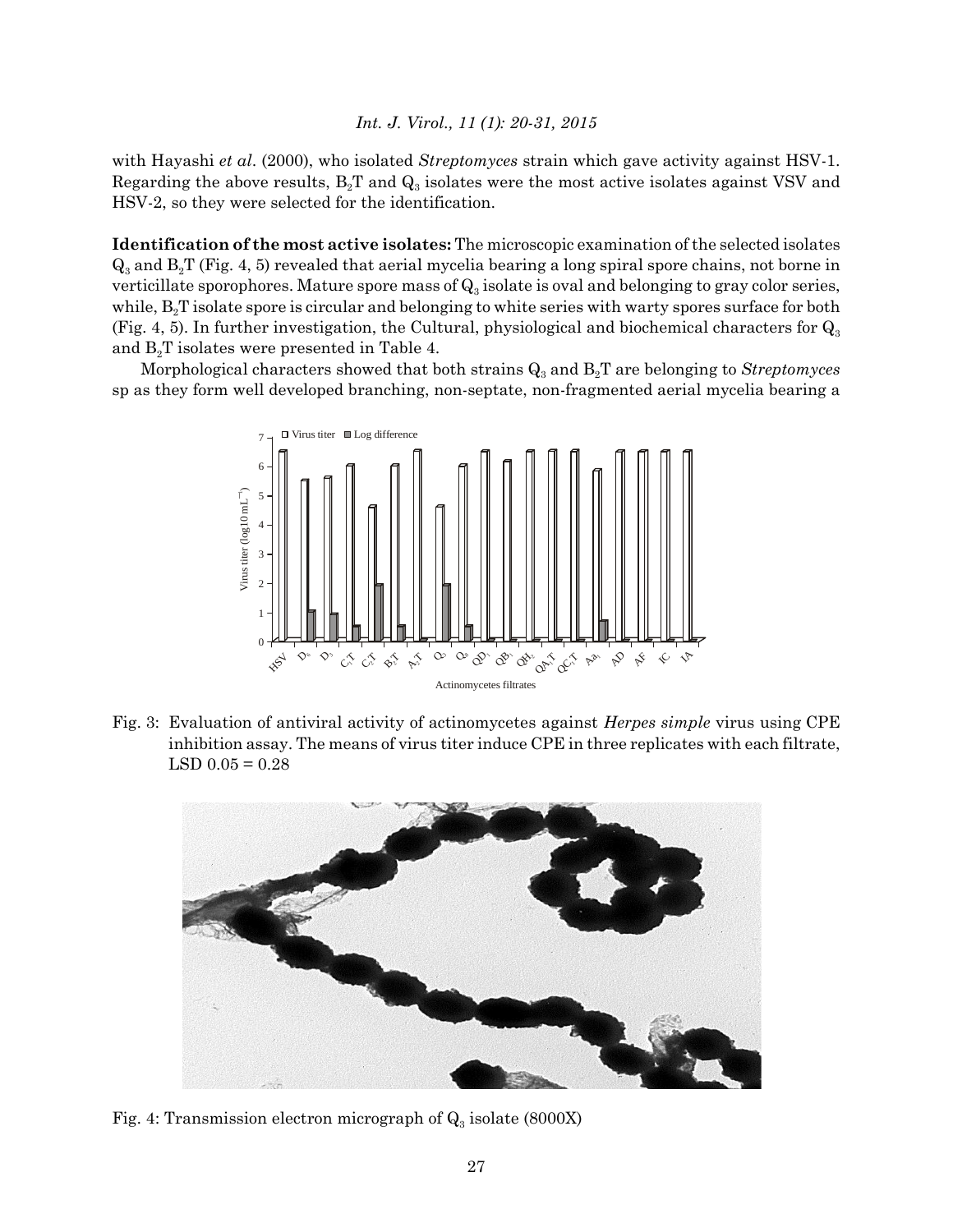with Hayashi *et al*. (2000), who isolated *Streptomyces* strain which gave activity against HSV-1. Regarding the above results,  $B_2T$  and  $Q_3$  isolates were the most active isolates against VSV and HSV-2, so they were selected for the identification.

**Identification of the most active isolates:** The microscopic examination of the selected isolates  $Q_3$  and  $B_2T$  (Fig. 4, 5) revealed that aerial mycelia bearing a long spiral spore chains, not borne in verticillate sporophores. Mature spore mass of  $Q_3$  isolate is oval and belonging to gray color series, while,  $B_2T$  isolate spore is circular and belonging to white series with warty spores surface for both (Fig. 4, 5). In further investigation, the Cultural, physiological and biochemical characters for  $Q_3$ and  $B_2T$  isolates were presented in Table 4.

Morphological characters showed that both strains  $Q_3$  and  $B_2T$  are belonging to *Streptomyces* sp as they form well developed branching, non-septate, non-fragmented aerial mycelia bearing a



Fig. 3: Evaluation of antiviral activity of actinomycetes against *Herpes simple* virus using CPE inhibition assay. The means of virus titer induce CPE in three replicates with each filtrate,  $LSD$  0.05 = 0.28



Fig. 4: Transmission electron micrograph of  $Q_3$  isolate (8000X)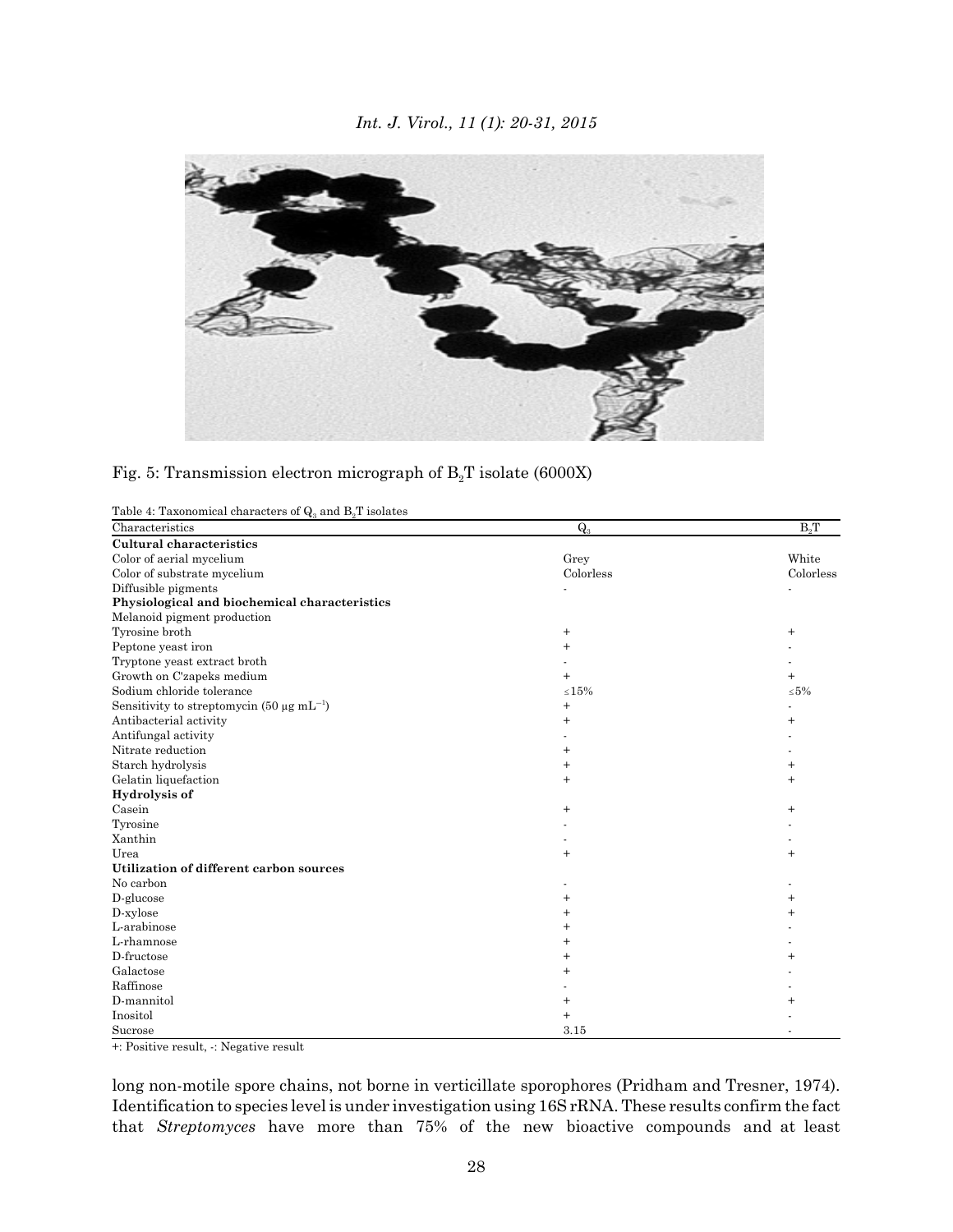

Fig. 5: Transmission electron micrograph of  $B_2T$  isolate (6000X)

| Table 4: Taxonomical characters of $Q_3$ and $B_2T$ isolates |             |                  |
|--------------------------------------------------------------|-------------|------------------|
| Characteristics                                              | $Q_3$       | B <sub>0</sub> T |
| <b>Cultural characteristics</b>                              |             |                  |
| Color of aerial mycelium                                     | Grey        | White            |
| Color of substrate mycelium                                  | Colorless   | Colorless        |
| Diffusible pigments                                          |             |                  |
| Physiological and biochemical characteristics                |             |                  |
| Melanoid pigment production                                  |             |                  |
| Tyrosine broth                                               | $^{+}$      | $\mathrm{+}$     |
| Peptone yeast iron                                           | $^{+}$      |                  |
| Tryptone yeast extract broth                                 |             |                  |
| Growth on C'zapeks medium                                    | $^{+}$      | $\overline{+}$   |
| Sodium chloride tolerance                                    | $\leq 15\%$ | $\leq 5\%$       |
| Sensitivity to streptomycin (50 $\mu$ g mL <sup>-1</sup> )   | $^{+}$      |                  |
| Antibacterial activity                                       | $\ddot{}$   |                  |
| Antifungal activity                                          |             |                  |
| Nitrate reduction                                            | $^{+}$      |                  |
| Starch hydrolysis                                            | $^{+}$      | $^{+}$           |
| Gelatin liquefaction                                         | $^{+}$      | $^{+}$           |
| Hydrolysis of                                                |             |                  |
| Casein                                                       | $^{+}$      | $\overline{+}$   |
| Tyrosine                                                     |             |                  |
| Xanthin                                                      |             |                  |
| Urea                                                         | $^{+}$      | $^{+}$           |
| Utilization of different carbon sources                      |             |                  |
| No carbon                                                    |             |                  |
| D-glucose                                                    |             |                  |
| D-xylose                                                     |             |                  |
| L-arabinose                                                  |             |                  |
| L-rhamnose                                                   |             |                  |
| D-fructose                                                   |             |                  |
| Galactose                                                    | $\pm$       |                  |
| Raffinose                                                    |             |                  |
| D-mannitol                                                   |             |                  |
| Inositol                                                     | $+$         |                  |
| Sucrose                                                      | 3.15        |                  |

+: Positive result, -: Negative result

long non-motile spore chains, not borne in verticillate sporophores (Pridham and Tresner, 1974). Identification to species level is under investigation using 16S rRNA. These results confirm the fact that *Streptomyces* have more than 75% of the new bioactive compounds and at least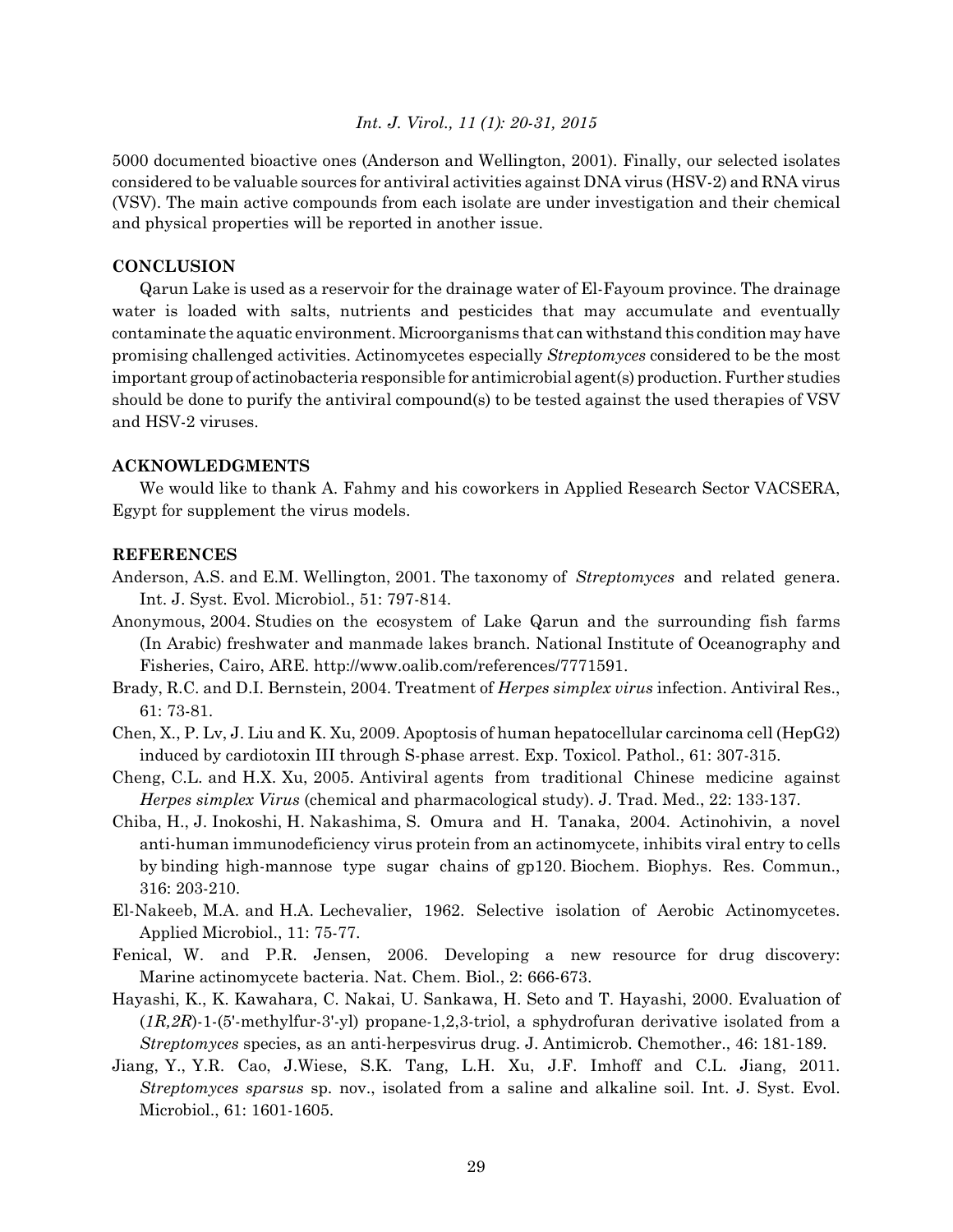5000 documented bioactive ones (Anderson and Wellington, 2001). Finally, our selected isolates considered to be valuable sources for antiviral activities against DNA virus (HSV-2) and RNA virus (VSV). The main active compounds from each isolate are under investigation and their chemical and physical properties will be reported in another issue.

#### **CONCLUSION**

Qarun Lake is used as a reservoir for the drainage water of El-Fayoum province. The drainage water is loaded with salts, nutrients and pesticides that may accumulate and eventually contaminate the aquatic environment. Microorganisms that can withstand this condition may have promising challenged activities. Actinomycetes especially *Streptomyces* considered to be the most important group of actinobacteria responsible for antimicrobial agent(s) production. Further studies should be done to purify the antiviral compound(s) to be tested against the used therapies of VSV and HSV-2 viruses.

# **ACKNOWLEDGMENTS**

We would like to thank A. Fahmy and his coworkers in Applied Research Sector VACSERA, Egypt for supplement the virus models.

#### **REFERENCES**

- Anderson, A.S. and E.M. Wellington, 2001. The taxonomy of *Streptomyces* and related genera. Int. J. Syst. Evol. Microbiol., 51: 797-814.
- Anonymous, 2004. Studies on the ecosystem of Lake Qarun and the surrounding fish farms (In Arabic) freshwater and manmade lakes branch. National Institute of Oceanography and Fisheries, Cairo, ARE. http://www.oalib.com/references/7771591.
- Brady, R.C. and D.I. Bernstein, 2004. Treatment of *Herpes simplex virus* infection. Antiviral Res., 61: 73-81.
- Chen, X., P. Lv, J. Liu and K. Xu, 2009. Apoptosis of human hepatocellular carcinoma cell (HepG2) induced by cardiotoxin III through S-phase arrest. Exp. Toxicol. Pathol., 61: 307-315.
- Cheng, C.L. and H.X. Xu, 2005. Antiviral agents from traditional Chinese medicine against *Herpes simplex Virus* (chemical and pharmacological study). J. Trad. Med., 22: 133-137.
- Chiba, H., J. Inokoshi, H. Nakashima, S. Omura and H. Tanaka, 2004. Actinohivin, a novel anti-human immunodeficiency virus protein from an actinomycete, inhibits viral entry to cells by binding high-mannose type sugar chains of gp120. Biochem. Biophys. Res. Commun., 316: 203-210.
- El-Nakeeb, M.A. and H.A. Lechevalier, 1962. Selective isolation of Aerobic Actinomycetes. Applied Microbiol., 11: 75-77.
- Fenical, W. and P.R. Jensen, 2006. Developing a new resource for drug discovery: Marine actinomycete bacteria. Nat. Chem. Biol., 2: 666-673.
- Hayashi, K., K. Kawahara, C. Nakai, U. Sankawa, H. Seto and T. Hayashi, 2000. Evaluation of (*1R,2R*)-1-(5'-methylfur-3'-yl) propane-1,2,3-triol, a sphydrofuran derivative isolated from a *Streptomyces* species, as an anti-herpesvirus drug. J. Antimicrob. Chemother., 46: 181-189.
- Jiang, Y., Y.R. Cao, J.Wiese, S.K. Tang, L.H. Xu, J.F. Imhoff and C.L. Jiang, 2011. *Streptomyces sparsus* sp. nov., isolated from a saline and alkaline soil. Int. J. Syst. Evol. Microbiol., 61: 1601-1605.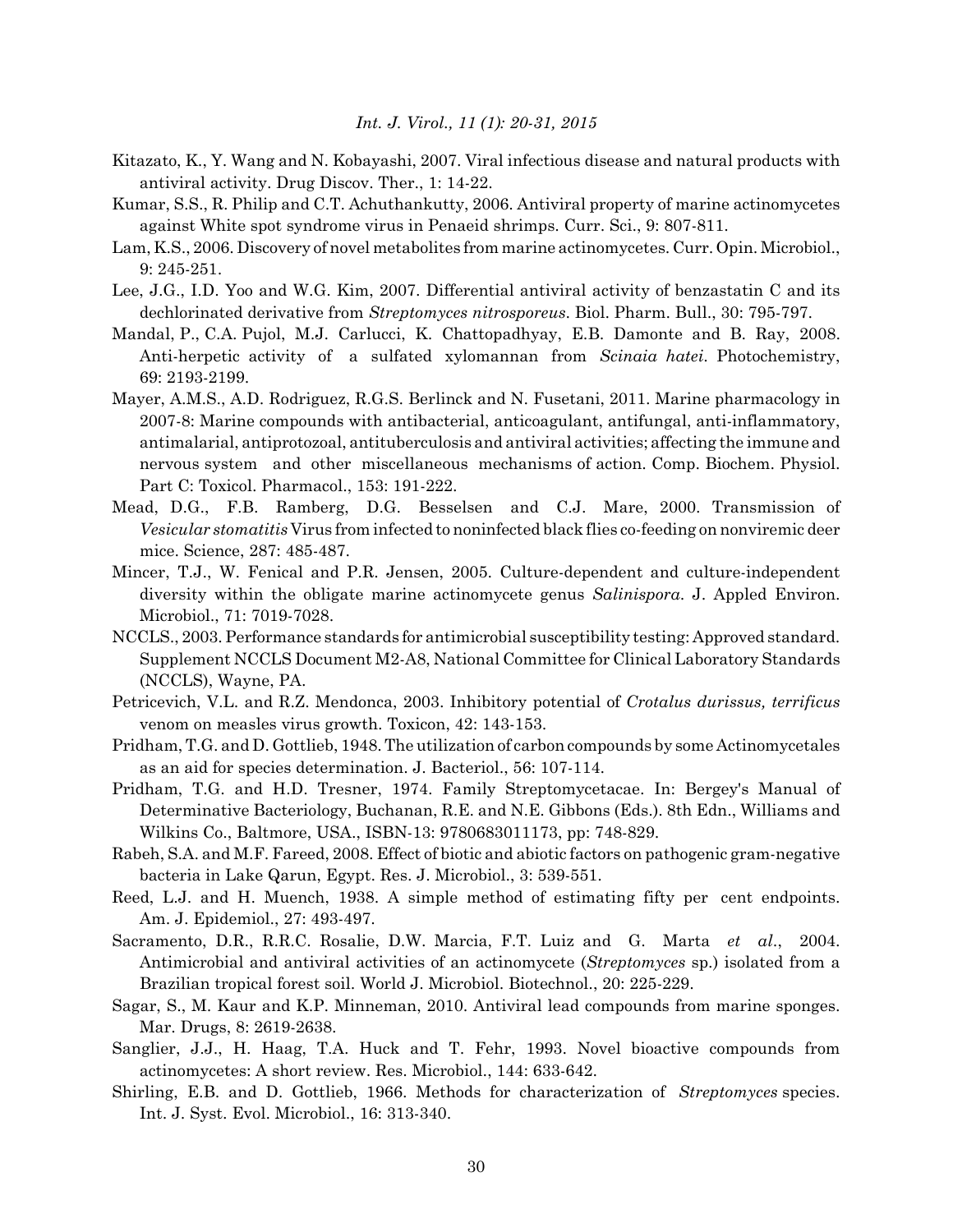- Kitazato, K., Y. Wang and N. Kobayashi, 2007. Viral infectious disease and natural products with antiviral activity. Drug Discov. Ther., 1: 14-22.
- Kumar, S.S., R. Philip and C.T. Achuthankutty, 2006. Antiviral property of marine actinomycetes against White spot syndrome virus in Penaeid shrimps. Curr. Sci., 9: 807-811.
- Lam, K.S., 2006. Discovery of novel metabolites from marine actinomycetes. Curr. Opin. Microbiol., 9: 245-251.
- Lee, J.G., I.D. Yoo and W.G. Kim, 2007. Differential antiviral activity of benzastatin C and its dechlorinated derivative from *Streptomyces nitrosporeus*. Biol. Pharm. Bull., 30: 795-797.
- Mandal, P., C.A. Pujol, M.J. Carlucci, K. Chattopadhyay, E.B. Damonte and B. Ray, 2008. Anti-herpetic activity of a sulfated xylomannan from *Scinaia hatei*. Photochemistry, 69: 2193-2199.
- Mayer, A.M.S., A.D. Rodriguez, R.G.S. Berlinck and N. Fusetani, 2011. Marine pharmacology in 2007-8: Marine compounds with antibacterial, anticoagulant, antifungal, anti-inflammatory, antimalarial, antiprotozoal, antituberculosis and antiviral activities; affecting the immune and nervous system and other miscellaneous mechanisms of action. Comp. Biochem. Physiol. Part C: Toxicol. Pharmacol., 153: 191-222.
- Mead, D.G., F.B. Ramberg, D.G. Besselsen and C.J. Mare, 2000. Transmission of *Vesicular stomatitis* Virus from infected to noninfected black flies co-feeding on nonviremic deer mice. Science, 287: 485-487.
- Mincer, T.J., W. Fenical and P.R. Jensen, 2005. Culture-dependent and culture-independent diversity within the obligate marine actinomycete genus *Salinispora*. J. Appled Environ. Microbiol., 71: 7019-7028.
- NCCLS., 2003. Performance standards for antimicrobial susceptibility testing: Approved standard. Supplement NCCLS Document M2-A8, National Committee for Clinical Laboratory Standards (NCCLS), Wayne, PA.
- Petricevich, V.L. and R.Z. Mendonca, 2003. Inhibitory potential of *Crotalus durissus, terrificus* venom on measles virus growth. Toxicon, 42: 143-153.
- Pridham, T.G. and D. Gottlieb, 1948. The utilization of carbon compounds by some Actinomycetales as an aid for species determination. J. Bacteriol., 56: 107-114.
- Pridham, T.G. and H.D. Tresner, 1974. Family Streptomycetacae. In: Bergey's Manual of Determinative Bacteriology, Buchanan, R.E. and N.E. Gibbons (Eds.). 8th Edn., Williams and Wilkins Co., Baltmore, USA., ISBN-13: 9780683011173, pp: 748-829.
- Rabeh, S.A. and M.F. Fareed, 2008. Effect of biotic and abiotic factors on pathogenic gram-negative bacteria in Lake Qarun, Egypt. Res. J. Microbiol., 3: 539-551.
- Reed, L.J. and H. Muench, 1938. A simple method of estimating fifty per cent endpoints. Am. J. Epidemiol., 27: 493-497.
- Sacramento, D.R., R.R.C. Rosalie, D.W. Marcia, F.T. Luiz and G. Marta *et al*., 2004. Antimicrobial and antiviral activities of an actinomycete (*Streptomyces* sp.) isolated from a Brazilian tropical forest soil. World J. Microbiol. Biotechnol., 20: 225-229.
- Sagar, S., M. Kaur and K.P. Minneman, 2010. Antiviral lead compounds from marine sponges. Mar. Drugs, 8: 2619-2638.
- Sanglier, J.J., H. Haag, T.A. Huck and T. Fehr, 1993. Novel bioactive compounds from actinomycetes: A short review. Res. Microbiol., 144: 633-642.
- Shirling, E.B. and D. Gottlieb, 1966. Methods for characterization of *Streptomyces* species. Int. J. Syst. Evol. Microbiol., 16: 313-340.